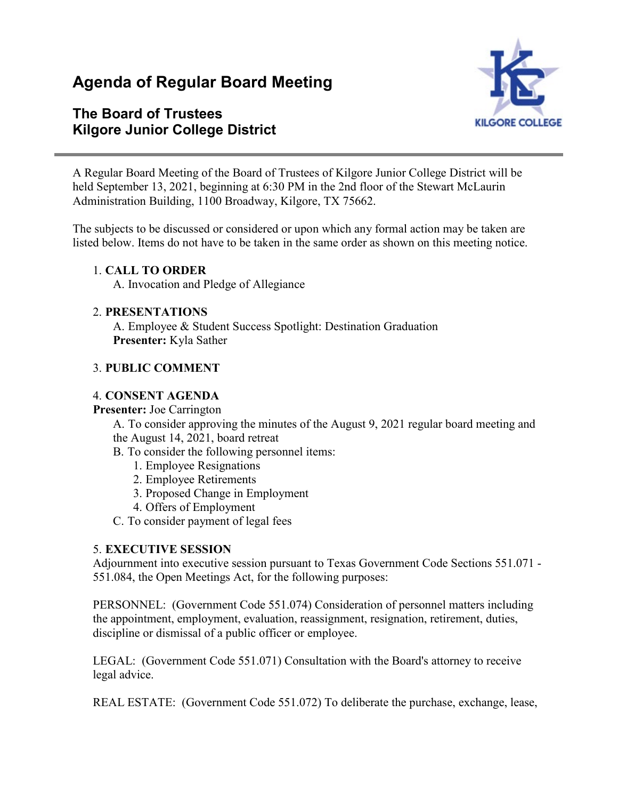# **Agenda of Regular Board Meeting**

# **The Board of Trustees Kilgore Junior College District**



A Regular Board Meeting of the Board of Trustees of Kilgore Junior College District will be held September 13, 2021, beginning at 6:30 PM in the 2nd floor of the Stewart McLaurin Administration Building, 1100 Broadway, Kilgore, TX 75662.

The subjects to be discussed or considered or upon which any formal action may be taken are listed below. Items do not have to be taken in the same order as shown on this meeting notice.

## 1. **CALL TO ORDER**

A. Invocation and Pledge of Allegiance

#### 2. **PRESENTATIONS**

A. Employee & Student Success Spotlight: Destination Graduation **Presenter:** Kyla Sather

#### 3. **PUBLIC COMMENT**

#### 4. **CONSENT AGENDA**

#### **Presenter:** Joe Carrington

A. To consider approving the minutes of the August 9, 2021 regular board meeting and the August 14, 2021, board retreat

- B. To consider the following personnel items:
	- 1. Employee Resignations
	- 2. Employee Retirements
	- 3. Proposed Change in Employment
	- 4. Offers of Employment
- C. To consider payment of legal fees

## 5. **EXECUTIVE SESSION**

Adjournment into executive session pursuant to Texas Government Code Sections 551.071 - 551.084, the Open Meetings Act, for the following purposes:

PERSONNEL: (Government Code 551.074) Consideration of personnel matters including the appointment, employment, evaluation, reassignment, resignation, retirement, duties, discipline or dismissal of a public officer or employee.

LEGAL: (Government Code 551.071) Consultation with the Board's attorney to receive legal advice.

REAL ESTATE: (Government Code 551.072) To deliberate the purchase, exchange, lease,